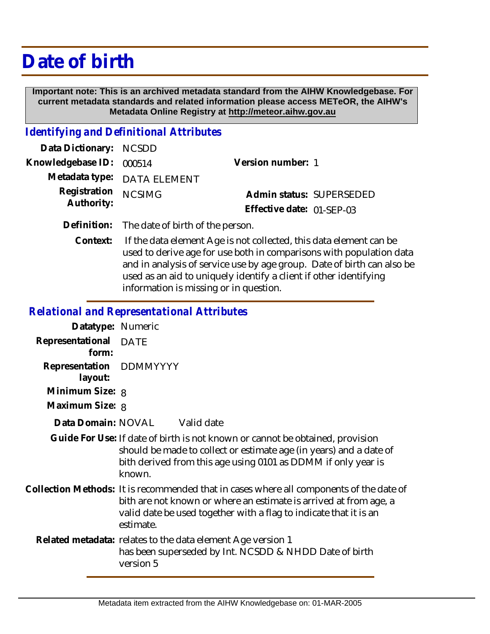## **Date of birth**

 **Important note: This is an archived metadata standard from the AIHW Knowledgebase. For current metadata standards and related information please access METeOR, the AIHW's Metadata Online Registry at http://meteor.aihw.gov.au**

## *Identifying and Definitional Attributes*

| Data Dictionary: NCSDD   |                             |                           |  |
|--------------------------|-----------------------------|---------------------------|--|
| Knowledgebase ID: 000514 |                             | Version number: 1         |  |
|                          | Metadata type: DATA ELEMENT |                           |  |
| Registration NCSIMG      |                             | Admin status: SUPERSEDED  |  |
| Authority:               |                             | Effective date: 01-SEP-03 |  |
|                          |                             |                           |  |

- **Definition:** The date of birth of the person.
	- If the data element Age is not collected, this data element can be used to derive age for use both in comparisons with population data and in analysis of service use by age group. Date of birth can also be used as an aid to uniquely identify a client if other identifying information is missing or in question. **Context:**

## *Relational and Representational Attributes*

| Datatype: Numeric                  |                                                                                                                                                                                                                                                |  |
|------------------------------------|------------------------------------------------------------------------------------------------------------------------------------------------------------------------------------------------------------------------------------------------|--|
| Representational<br>form:          | <b>DATE</b>                                                                                                                                                                                                                                    |  |
| Representation DDMMYYYY<br>layout: |                                                                                                                                                                                                                                                |  |
| Minimum Size: 8                    |                                                                                                                                                                                                                                                |  |
| Maximum Size: 8                    |                                                                                                                                                                                                                                                |  |
|                                    | Data Domain: NOVAL Valid date                                                                                                                                                                                                                  |  |
|                                    | Guide For Use: If date of birth is not known or cannot be obtained, provision<br>should be made to collect or estimate age (in years) and a date of<br>bith derived from this age using 0101 as DDMM if only year is<br>known.                 |  |
|                                    | Collection Methods: It is recommended that in cases where all components of the date of<br>bith are not known or where an estimate is arrived at from age, a<br>valid date be used together with a flag to indicate that it is an<br>estimate. |  |
|                                    | Related metadata: relates to the data element Age version 1<br>has been superseded by Int. NCSDD & NHDD Date of birth<br>version 5                                                                                                             |  |